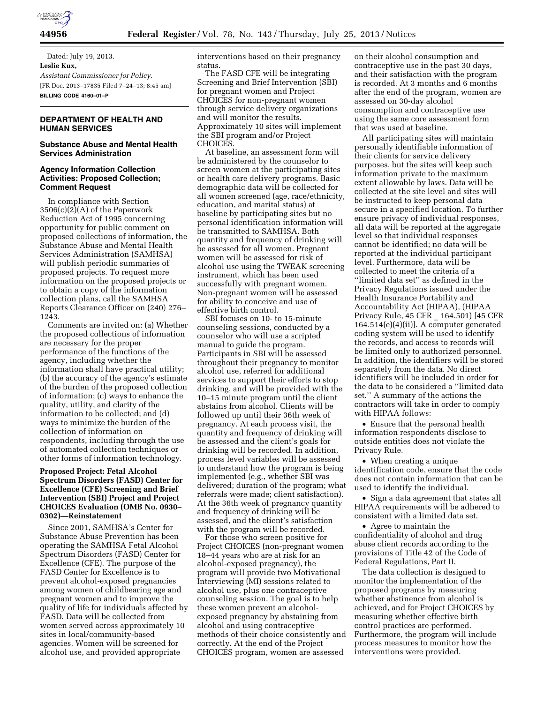

Dated: July 19, 2013. **Leslie Kux,**  *Assistant Commissioner for Policy.*  [FR Doc. 2013–17835 Filed 7–24–13; 8:45 am] **BILLING CODE 4160–01–P** 

# **DEPARTMENT OF HEALTH AND HUMAN SERVICES**

## **Substance Abuse and Mental Health Services Administration**

## **Agency Information Collection Activities: Proposed Collection; Comment Request**

In compliance with Section 3506(c)(2)(A) of the Paperwork Reduction Act of 1995 concerning opportunity for public comment on proposed collections of information, the Substance Abuse and Mental Health Services Administration (SAMHSA) will publish periodic summaries of proposed projects. To request more information on the proposed projects or to obtain a copy of the information collection plans, call the SAMHSA Reports Clearance Officer on (240) 276– 1243.

Comments are invited on: (a) Whether the proposed collections of information are necessary for the proper performance of the functions of the agency, including whether the information shall have practical utility; (b) the accuracy of the agency's estimate of the burden of the proposed collection of information; (c) ways to enhance the quality, utility, and clarity of the information to be collected; and (d) ways to minimize the burden of the collection of information on respondents, including through the use of automated collection techniques or other forms of information technology.

## **Proposed Project: Fetal Alcohol Spectrum Disorders (FASD) Center for Excellence (CFE) Screening and Brief Intervention (SBI) Project and Project CHOICES Evaluation (OMB No. 0930– 0302)—Reinstatement**

Since 2001, SAMHSA's Center for Substance Abuse Prevention has been operating the SAMHSA Fetal Alcohol Spectrum Disorders (FASD) Center for Excellence (CFE). The purpose of the FASD Center for Excellence is to prevent alcohol-exposed pregnancies among women of childbearing age and pregnant women and to improve the quality of life for individuals affected by FASD. Data will be collected from women served across approximately 10 sites in local/community-based agencies. Women will be screened for alcohol use, and provided appropriate

interventions based on their pregnancy status.

The FASD CFE will be integrating Screening and Brief Intervention (SBI) for pregnant women and Project CHOICES for non-pregnant women through service delivery organizations and will monitor the results. Approximately 10 sites will implement the SBI program and/or Project CHOICES.

At baseline, an assessment form will be administered by the counselor to screen women at the participating sites or health care delivery programs. Basic demographic data will be collected for all women screened (age, race/ethnicity, education, and marital status) at baseline by participating sites but no personal identification information will be transmitted to SAMHSA. Both quantity and frequency of drinking will be assessed for all women. Pregnant women will be assessed for risk of alcohol use using the TWEAK screening instrument, which has been used successfully with pregnant women. Non-pregnant women will be assessed for ability to conceive and use of effective birth control.

SBI focuses on 10- to 15-minute counseling sessions, conducted by a counselor who will use a scripted manual to guide the program. Participants in SBI will be assessed throughout their pregnancy to monitor alcohol use, referred for additional services to support their efforts to stop drinking, and will be provided with the 10–15 minute program until the client abstains from alcohol. Clients will be followed up until their 36th week of pregnancy. At each process visit, the quantity and frequency of drinking will be assessed and the client's goals for drinking will be recorded. In addition, process level variables will be assessed to understand how the program is being implemented (e.g., whether SBI was delivered; duration of the program; what referrals were made; client satisfaction). At the 36th week of pregnancy quantity and frequency of drinking will be assessed, and the client's satisfaction with the program will be recorded.

For those who screen positive for Project CHOICES (non-pregnant women 18–44 years who are at risk for an alcohol-exposed pregnancy), the program will provide two Motivational Interviewing (MI) sessions related to alcohol use, plus one contraceptive counseling session. The goal is to help these women prevent an alcoholexposed pregnancy by abstaining from alcohol and using contraceptive methods of their choice consistently and correctly. At the end of the Project CHOICES program, women are assessed

on their alcohol consumption and contraceptive use in the past 30 days, and their satisfaction with the program is recorded. At 3 months and 6 months after the end of the program, women are assessed on 30-day alcohol consumption and contraceptive use using the same core assessment form that was used at baseline.

All participating sites will maintain personally identifiable information of their clients for service delivery purposes, but the sites will keep such information private to the maximum extent allowable by laws. Data will be collected at the site level and sites will be instructed to keep personal data secure in a specified location. To further ensure privacy of individual responses, all data will be reported at the aggregate level so that individual responses cannot be identified; no data will be reported at the individual participant level. Furthermore, data will be collected to meet the criteria of a ''limited data set'' as defined in the Privacy Regulations issued under the Health Insurance Portability and Accountability Act (HIPAA), (HIPAA Privacy Rule, 45 CFR \_ 164.501) [45 CFR 164.514(e)(4)(ii)]. A computer generated coding system will be used to identify the records, and access to records will be limited only to authorized personnel. In addition, the identifiers will be stored separately from the data. No direct identifiers will be included in order for the data to be considered a ''limited data set.'' A summary of the actions the contractors will take in order to comply with HIPAA follows:

• Ensure that the personal health information respondents disclose to outside entities does not violate the Privacy Rule.

• When creating a unique identification code, ensure that the code does not contain information that can be used to identify the individual.

• Sign a data agreement that states all HIPAA requirements will be adhered to consistent with a limited data set.

• Agree to maintain the confidentiality of alcohol and drug abuse client records according to the provisions of Title 42 of the Code of Federal Regulations, Part II.

The data collection is designed to monitor the implementation of the proposed programs by measuring whether abstinence from alcohol is achieved, and for Project CHOICES by measuring whether effective birth control practices are performed. Furthermore, the program will include process measures to monitor how the interventions were provided.